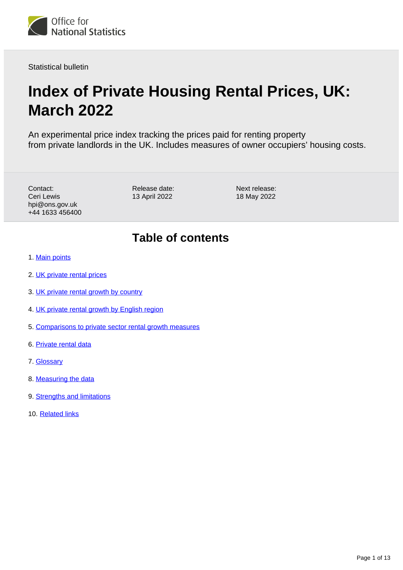

Statistical bulletin

# **Index of Private Housing Rental Prices, UK: March 2022**

An experimental price index tracking the prices paid for renting property from private landlords in the UK. Includes measures of owner occupiers' housing costs.

Contact: Ceri Lewis hpi@ons.gov.uk +44 1633 456400 Release date: 13 April 2022

Next release: 18 May 2022

## **Table of contents**

- 1. [Main points](#page-1-0)
- 2. [UK private rental prices](#page-2-0)
- 3. [UK private rental growth by country](#page-4-0)
- 4. [UK private rental growth by English region](#page-7-0)
- 5. [Comparisons to private sector rental growth measures](#page-9-0)
- 6. [Private rental data](#page-10-0)
- 7. [Glossary](#page-10-1)
- 8. [Measuring the data](#page-11-0)
- 9. [Strengths and limitations](#page-12-0)
- 10. [Related links](#page-12-1)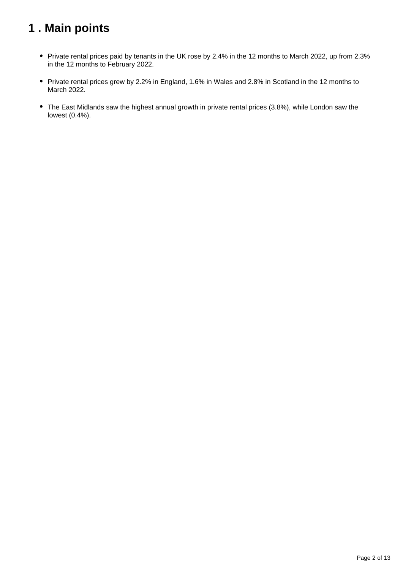## <span id="page-1-0"></span>**1 . Main points**

- Private rental prices paid by tenants in the UK rose by 2.4% in the 12 months to March 2022, up from 2.3% in the 12 months to February 2022.
- Private rental prices grew by 2.2% in England, 1.6% in Wales and 2.8% in Scotland in the 12 months to March 2022.
- The East Midlands saw the highest annual growth in private rental prices (3.8%), while London saw the lowest (0.4%).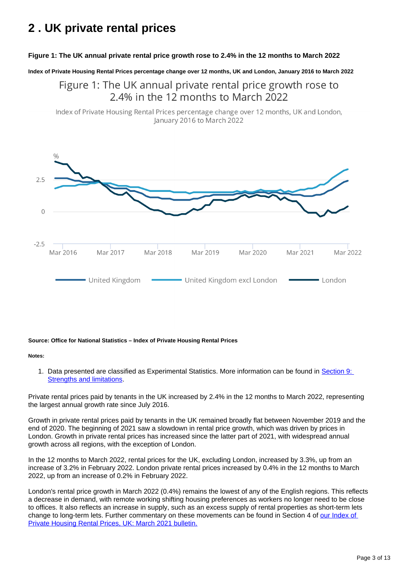## <span id="page-2-0"></span>**2 . UK private rental prices**

### **Figure 1: The UK annual private rental price growth rose to 2.4% in the 12 months to March 2022**

**Index of Private Housing Rental Prices percentage change over 12 months, UK and London, January 2016 to March 2022**

Figure 1: The UK annual private rental price growth rose to 2.4% in the 12 months to March 2022

Index of Private Housing Rental Prices percentage change over 12 months, UK and London, January 2016 to March 2022



#### **Source: Office for National Statistics – Index of Private Housing Rental Prices**

#### **Notes:**

1. Data presented are classified as Experimental Statistics. More information can be found in Section 9: [Strengths and limitations.](https://www.ons.gov.uk/economy/inflationandpriceindices/bulletins/indexofprivatehousingrentalprices/march2022#strengths-and-limitations)

Private rental prices paid by tenants in the UK increased by 2.4% in the 12 months to March 2022, representing the largest annual growth rate since July 2016.

Growth in private rental prices paid by tenants in the UK remained broadly flat between November 2019 and the end of 2020. The beginning of 2021 saw a slowdown in rental price growth, which was driven by prices in London. Growth in private rental prices has increased since the latter part of 2021, with widespread annual growth across all regions, with the exception of London.

In the 12 months to March 2022, rental prices for the UK, excluding London, increased by 3.3%, up from an increase of 3.2% in February 2022. London private rental prices increased by 0.4% in the 12 months to March 2022, up from an increase of 0.2% in February 2022.

London's rental price growth in March 2022 (0.4%) remains the lowest of any of the English regions. This reflects a decrease in demand, with remote working shifting housing preferences as workers no longer need to be close to offices. It also reflects an increase in supply, such as an excess supply of rental properties as short-term lets change to long-term lets. Further commentary on these movements can be found in Section 4 of [our Index of](https://www.ons.gov.uk/economy/inflationandpriceindices/bulletins/indexofprivatehousingrentalprices/march2021)  [Private Housing Rental Prices, UK: March 2021 bulletin.](https://www.ons.gov.uk/economy/inflationandpriceindices/bulletins/indexofprivatehousingrentalprices/march2021)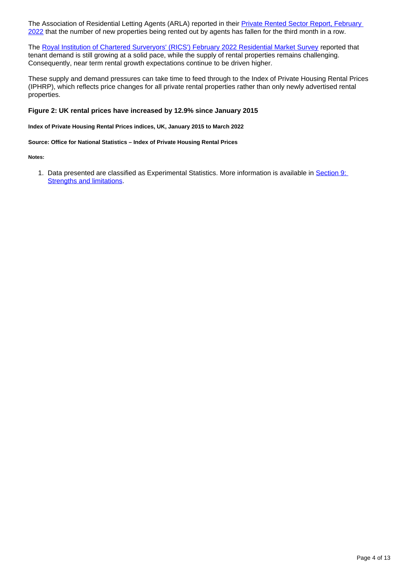The Association of Residential Letting Agents (ARLA) reported in their **Private Rented Sector Report**, February [2022](https://www.propertymark.co.uk/resource/the-prs-faces-record-pressure.html) that the number of new properties being rented out by agents has fallen for the third month in a row.

The [Royal Institution of Chartered Surveryors' \(RICS'\) February 2022 Residential Market Survey](https://www.rics.org/globalassets/rics-website/media/knowledge/research/market-surveys/uk-residential-market-surveys/2._web_-february_2022_rics_uk_residential_market_survey_tp.pdf) reported that tenant demand is still growing at a solid pace, while the supply of rental properties remains challenging. Consequently, near term rental growth expectations continue to be driven higher.

These supply and demand pressures can take time to feed through to the Index of Private Housing Rental Prices (IPHRP), which reflects price changes for all private rental properties rather than only newly advertised rental properties.

#### **Figure 2: UK rental prices have increased by 12.9% since January 2015**

**Index of Private Housing Rental Prices indices, UK, January 2015 to March 2022**

**Source: Office for National Statistics – Index of Private Housing Rental Prices**

**Notes:**

1. Data presented are classified as Experimental Statistics. More information is available in **Section 9:** [Strengths and limitations.](https://www.ons.gov.uk/economy/inflationandpriceindices/bulletins/indexofprivatehousingrentalprices/march2022#strengths-and-limitations)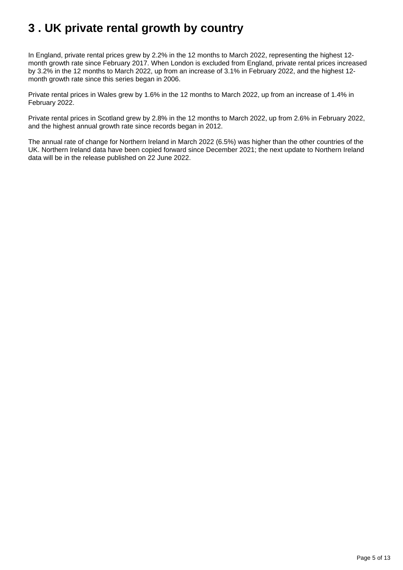## <span id="page-4-0"></span>**3 . UK private rental growth by country**

In England, private rental prices grew by 2.2% in the 12 months to March 2022, representing the highest 12 month growth rate since February 2017. When London is excluded from England, private rental prices increased by 3.2% in the 12 months to March 2022, up from an increase of 3.1% in February 2022, and the highest 12 month growth rate since this series began in 2006.

Private rental prices in Wales grew by 1.6% in the 12 months to March 2022, up from an increase of 1.4% in February 2022.

Private rental prices in Scotland grew by 2.8% in the 12 months to March 2022, up from 2.6% in February 2022, and the highest annual growth rate since records began in 2012.

The annual rate of change for Northern Ireland in March 2022 (6.5%) was higher than the other countries of the UK. Northern Ireland data have been copied forward since December 2021; the next update to Northern Ireland data will be in the release published on 22 June 2022.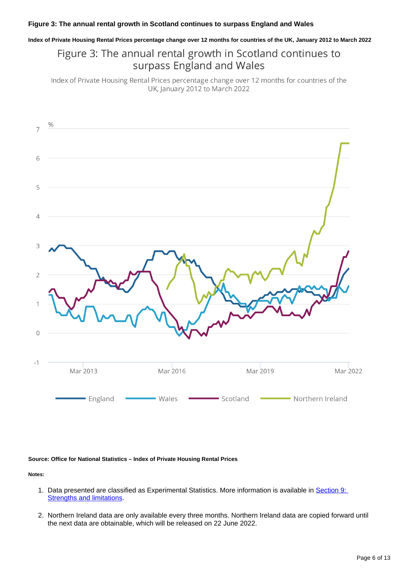**Index of Private Housing Rental Prices percentage change over 12 months for countries of the UK, January 2012 to March 2022**

## Figure 3: The annual rental growth in Scotland continues to surpass England and Wales

Index of Private Housing Rental Prices percentage change over 12 months for countries of the UK, January 2012 to March 2022



#### **Source: Office for National Statistics – Index of Private Housing Rental Prices**

**Notes:**

- 1. Data presented are classified as Experimental Statistics. More information is available in Section 9: **[Strengths and limitations.](https://www.ons.gov.uk/economy/inflationandpriceindices/bulletins/indexofprivatehousingrentalprices/march2022#strengths-and-limitations)**
- 2. Northern Ireland data are only available every three months. Northern Ireland data are copied forward until the next data are obtainable, which will be released on 22 June 2022.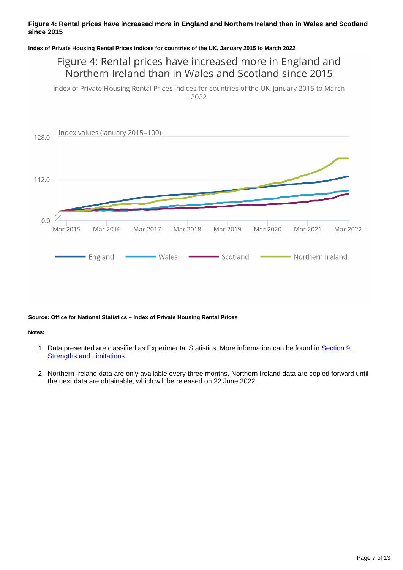### **Figure 4: Rental prices have increased more in England and Northern Ireland than in Wales and Scotland since 2015**

#### **Index of Private Housing Rental Prices indices for countries of the UK, January 2015 to March 2022**

## Figure 4: Rental prices have increased more in England and Northern Ireland than in Wales and Scotland since 2015

Index of Private Housing Rental Prices indices for countries of the UK, January 2015 to March 2022



#### **Source: Office for National Statistics – Index of Private Housing Rental Prices**

#### **Notes:**

- 1. Data presented are classified as Experimental Statistics. More information can be found in Section 9: [Strengths and Limitations](https://www.ons.gov.uk/economy/inflationandpriceindices/bulletins/indexofprivatehousingrentalprices/march2022#strengths-and-limitations)
- 2. Northern Ireland data are only available every three months. Northern Ireland data are copied forward until the next data are obtainable, which will be released on 22 June 2022.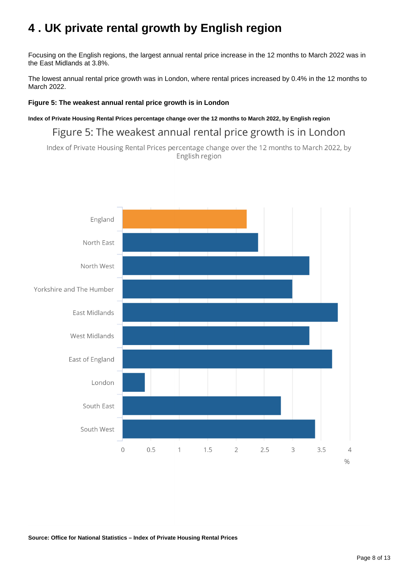## <span id="page-7-0"></span>**4 . UK private rental growth by English region**

Focusing on the English regions, the largest annual rental price increase in the 12 months to March 2022 was in the East Midlands at 3.8%.

The lowest annual rental price growth was in London, where rental prices increased by 0.4% in the 12 months to March 2022.

### **Figure 5: The weakest annual rental price growth is in London**

**Index of Private Housing Rental Prices percentage change over the 12 months to March 2022, by English region**

Figure 5: The weakest annual rental price growth is in London

Index of Private Housing Rental Prices percentage change over the 12 months to March 2022, by English region

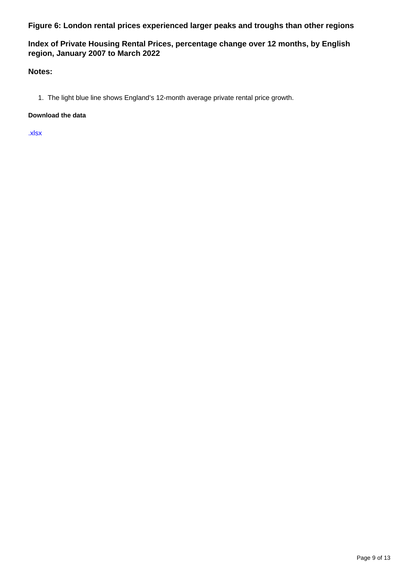**Figure 6: London rental prices experienced larger peaks and troughs than other regions**

### **Index of Private Housing Rental Prices, percentage change over 12 months, by English region, January 2007 to March 2022**

### **Notes:**

1. The light blue line shows England's 12-month average private rental price growth.

### **Download the data**

[.xlsx](https://www.ons.gov.uk/visualisations/dvc1919/rpm/datadownload.xlsx)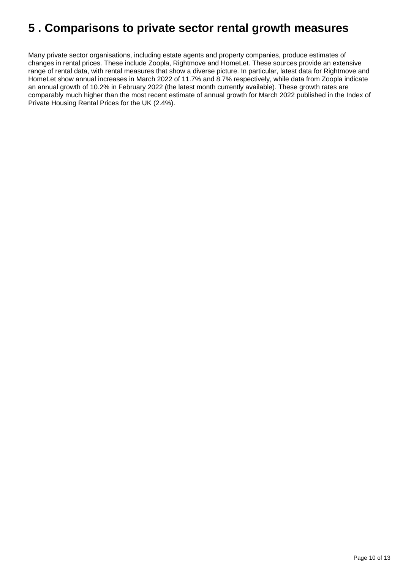## <span id="page-9-0"></span>**5 . Comparisons to private sector rental growth measures**

Many private sector organisations, including estate agents and property companies, produce estimates of changes in rental prices. These include Zoopla, Rightmove and HomeLet. These sources provide an extensive range of rental data, with rental measures that show a diverse picture. In particular, latest data for Rightmove and HomeLet show annual increases in March 2022 of 11.7% and 8.7% respectively, while data from Zoopla indicate an annual growth of 10.2% in February 2022 (the latest month currently available). These growth rates are comparably much higher than the most recent estimate of annual growth for March 2022 published in the Index of Private Housing Rental Prices for the UK (2.4%).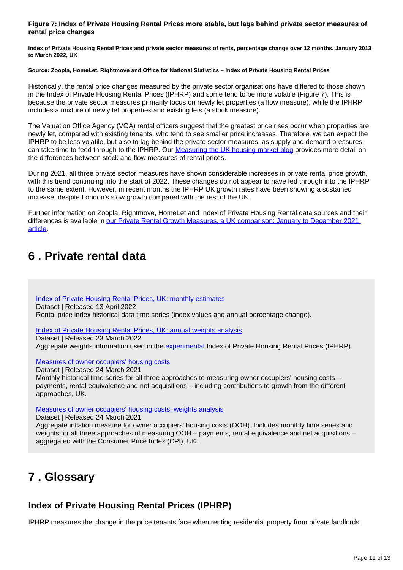#### **Figure 7: Index of Private Housing Rental Prices more stable, but lags behind private sector measures of rental price changes**

**Index of Private Housing Rental Prices and private sector measures of rents, percentage change over 12 months, January 2013 to March 2022, UK**

#### **Source: Zoopla, HomeLet, Rightmove and Office for National Statistics – Index of Private Housing Rental Prices**

Historically, the rental price changes measured by the private sector organisations have differed to those shown in the Index of Private Housing Rental Prices (IPHRP) and some tend to be more volatile (Figure 7). This is because the private sector measures primarily focus on newly let properties (a flow measure), while the IPHRP includes a mixture of newly let properties and existing lets (a stock measure).

The Valuation Office Agency (VOA) rental officers suggest that the greatest price rises occur when properties are newly let, compared with existing tenants, who tend to see smaller price increases. Therefore, we can expect the IPHRP to be less volatile, but also to lag behind the private sector measures, as supply and demand pressures can take time to feed through to the IPHRP. Our [Measuring the UK housing market blog](https://blog.ons.gov.uk/2020/09/16/measuring-the-uk-housing-market/) provides more detail on the differences between stock and flow measures of rental prices.

During 2021, all three private sector measures have shown considerable increases in private rental price growth, with this trend continuing into the start of 2022. These changes do not appear to have fed through into the IPHRP to the same extent. However, in recent months the IPHRP UK growth rates have been showing a sustained increase, despite London's slow growth compared with the rest of the UK.

Further information on Zoopla, Rightmove, HomeLet and Index of Private Housing Rental data sources and their differences is available in [our Private Rental Growth Measures, a UK comparison: January to December 2021](https://www.ons.gov.uk/economy/inflationandpriceindices/articles/comparingmeasuresofprivaterentalgrowthintheuk/januarytodecember2021)  [article.](https://www.ons.gov.uk/economy/inflationandpriceindices/articles/comparingmeasuresofprivaterentalgrowthintheuk/januarytodecember2021)

## <span id="page-10-0"></span>**6 . Private rental data**

[Index of Private Housing Rental Prices, UK: monthly estimates](https://www.ons.gov.uk/economy/inflationandpriceindices/datasets/indexofprivatehousingrentalpricesreferencetables) Dataset | Released 13 April 2022 Rental price index historical data time series (index values and annual percentage change).

[Index of Private Housing Rental Prices, UK: annual weights analysis](https://www.ons.gov.uk/economy/inflationandpriceindices/datasets/indexofprivatehousingrentalpricesweightsanalysis)

Dataset | Released 23 March 2022

Aggregate weights information used in the [experimental](https://www.ons.gov.uk/methodology/methodologytopicsandstatisticalconcepts/guidetoexperimentalstatistics) Index of Private Housing Rental Prices (IPHRP).

[Measures of owner occupiers' housing costs](https://www.ons.gov.uk/economy/inflationandpriceindices/datasets/understandingthedifferentapproachesofmeasuringowneroccupiershousingcosts)

Dataset | Released 24 March 2021

Monthly historical time series for all three approaches to measuring owner occupiers' housing costs – payments, rental equivalence and net acquisitions – including contributions to growth from the different approaches, UK.

[Measures of owner occupiers' housing costs: weights analysis](https://www.ons.gov.uk/economy/inflationandpriceindices/datasets/understandingthedifferentapproachesofmeasuringowneroccupiershousingcostsoohweightsanalysis)

Dataset | Released 24 March 2021

Aggregate inflation measure for owner occupiers' housing costs (OOH). Includes monthly time series and weights for all three approaches of measuring OOH – payments, rental equivalence and net acquisitions – aggregated with the Consumer Price Index (CPI), UK.

## <span id="page-10-1"></span>**7 . Glossary**

### **Index of Private Housing Rental Prices (IPHRP)**

IPHRP measures the change in the price tenants face when renting residential property from private landlords.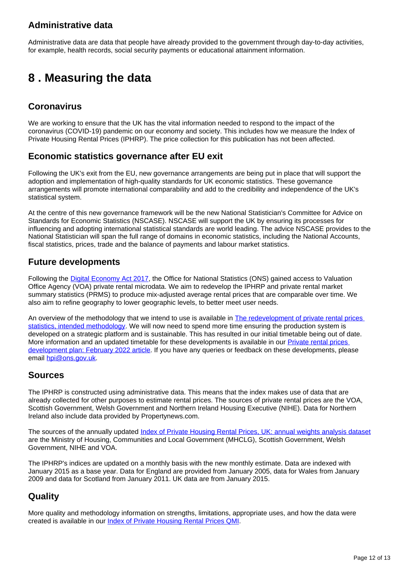### **Administrative data**

Administrative data are data that people have already provided to the government through day-to-day activities, for example, health records, social security payments or educational attainment information.

## <span id="page-11-0"></span>**8 . Measuring the data**

### **Coronavirus**

We are working to ensure that the UK has the vital information needed to respond to the impact of the coronavirus (COVID-19) pandemic on our economy and society. This includes how we measure the Index of Private Housing Rental Prices (IPHRP). The price collection for this publication has not been affected.

### **Economic statistics governance after EU exit**

Following the UK's exit from the EU, new governance arrangements are being put in place that will support the adoption and implementation of high-quality standards for UK economic statistics. These governance arrangements will promote international comparability and add to the credibility and independence of the UK's statistical system.

At the centre of this new governance framework will be the new National Statistician's Committee for Advice on Standards for Economic Statistics (NSCASE). NSCASE will support the UK by ensuring its processes for influencing and adopting international statistical standards are world leading. The advice NSCASE provides to the National Statistician will span the full range of domains in economic statistics, including the National Accounts, fiscal statistics, prices, trade and the balance of payments and labour market statistics.

### **Future developments**

Following the [Digital Economy Act 2017,](https://www.legislation.gov.uk/ukpga/2017/30/contents/enacted) the Office for National Statistics (ONS) gained access to Valuation Office Agency (VOA) private rental microdata. We aim to redevelop the IPHRP and private rental market summary statistics (PRMS) to produce mix-adjusted average rental prices that are comparable over time. We also aim to refine geography to lower geographic levels, to better meet user needs.

An overview of the methodology that we intend to use is available in The redevelopment of private rental prices [statistics, intended methodology](https://www.ons.gov.uk/releases/theredevelopmentofprivaterentalpricesstatisticsintendedmethodology). We will now need to spend more time ensuring the production system is developed on a strategic platform and is sustainable. This has resulted in our initial timetable being out of date. More information and an updated timetable for these developments is available in our Private rental prices [development plan: February 2022 article](https://www.ons.gov.uk/peoplepopulationandcommunity/housing/articles/privaterentalpricesdevelopmentplan/updatedfebruary2022). If you have any queries or feedback on these developments, please email [hpi@ons.gov.uk](mailto:hpi@ons.gov.uk).

### **Sources**

The IPHRP is constructed using administrative data. This means that the index makes use of data that are already collected for other purposes to estimate rental prices. The sources of private rental prices are the VOA, Scottish Government, Welsh Government and Northern Ireland Housing Executive (NIHE). Data for Northern Ireland also include data provided by Propertynews.com.

The sources of the annually updated [Index of Private Housing Rental Prices, UK: annual weights analysis dataset](https://www.ons.gov.uk/economy/inflationandpriceindices/datasets/indexofprivatehousingrentalpricesweightsanalysis) are the Ministry of Housing, Communities and Local Government (MHCLG), Scottish Government, Welsh Government, NIHE and VOA.

The IPHRP's indices are updated on a monthly basis with the new monthly estimate. Data are indexed with January 2015 as a base year. Data for England are provided from January 2005, data for Wales from January 2009 and data for Scotland from January 2011. UK data are from January 2015.

### **Quality**

More quality and methodology information on strengths, limitations, appropriate uses, and how the data were created is available in our [Index of Private Housing Rental Prices QMI](https://www.ons.gov.uk/economy/inflationandpriceindices/methodologies/indexofprivatehousingrentalpricesqmi).